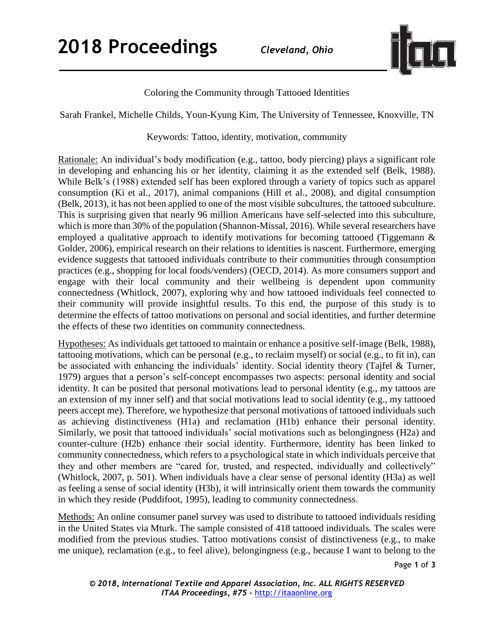

Coloring the Community through Tattooed Identities

Sarah Frankel, Michelle Childs, Youn-Kyung Kim, The University of Tennessee, Knoxville, TN

Keywords: Tattoo, identity, motivation, community

Rationale: An individual's body modification (e.g., tattoo, body piercing) plays a significant role in developing and enhancing his or her identity, claiming it as the extended self (Belk, 1988). While Belk's (1988) extended self has been explored through a variety of topics such as apparel consumption (Ki et al., 2017), animal companions (Hill et al., 2008), and digital consumption (Belk, 2013), it has not been applied to one of the most visible subcultures, the tattooed subculture. This is surprising given that nearly 96 million Americans have self-selected into this subculture, which is more than 30% of the population (Shannon-Missal, 2016). While several researchers have employed a qualitative approach to identify motivations for becoming tattooed (Tiggemann & Golder, 2006), empirical research on their relations to identities is nascent. Furthermore, emerging evidence suggests that tattooed individuals contribute to their communities through consumption practices (e.g., shopping for local foods/venders) (OECD, 2014). As more consumers support and engage with their local community and their wellbeing is dependent upon community connectedness (Whitlock, 2007), exploring why and how tattooed individuals feel connected to their community will provide insightful results. To this end, the purpose of this study is to determine the effects of tattoo motivations on personal and social identities, and further determine the effects of these two identities on community connectedness.

Hypotheses: As individuals get tattooed to maintain or enhance a positive self-image (Belk, 1988), tattooing motivations, which can be personal (e.g., to reclaim myself) or social (e.g., to fit in), can be associated with enhancing the individuals' identity. Social identity theory (Tajfel & Turner, 1979) argues that a person's self-concept encompasses two aspects: personal identity and social identity. It can be posited that personal motivations lead to personal identity (e.g., my tattoos are an extension of my inner self) and that social motivations lead to social identity (e.g., my tattooed peers accept me). Therefore, we hypothesize that personal motivations of tattooed individuals such as achieving distinctiveness (H1a) and reclamation (H1b) enhance their personal identity. Similarly, we posit that tattooed individuals' social motivations such as belongingness (H2a) and counter-culture (H2b) enhance their social identity. Furthermore, identity has been linked to community connectedness, which refers to a psychological state in which individuals perceive that they and other members are "cared for, trusted, and respected, individually and collectively" (Whitlock, 2007, p. 501). When individuals have a clear sense of personal identity (H3a) as well as feeling a sense of social identity (H3b), it will intrinsically orient them towards the community in which they reside (Puddifoot, 1995), leading to community connectedness.

Methods: An online consumer panel survey was used to distribute to tattooed individuals residing in the United States via Mturk. The sample consisted of 418 tattooed individuals. The scales were modified from the previous studies. Tattoo motivations consist of distinctiveness (e.g., to make me unique), reclamation (e.g., to feel alive), belongingness (e.g., because I want to belong to the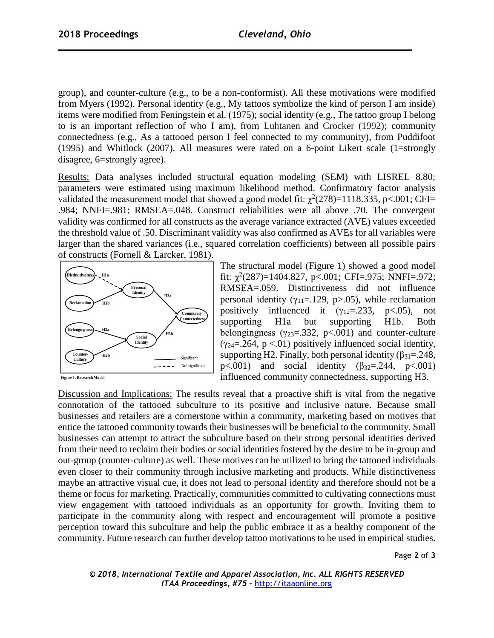group), and counter-culture (e.g., to be a non-conformist). All these motivations were modified from Myers (1992). Personal identity (e.g., My tattoos symbolize the kind of person I am inside) items were modified from Feningstein et al. (1975); social identity (e.g., The tattoo group I belong to is an important reflection of who I am), from Luhtanen and Crocker (1992); community connectedness (e.g., As a tattooed person I feel connected to my community), from Puddifoot (1995) and Whitlock (2007). All measures were rated on a 6-point Likert scale (1=strongly disagree, 6=strongly agree).

Results: Data analyses included structural equation modeling (SEM) with LISREL 8.80; parameters were estimated using maximum likelihood method. Confirmatory factor analysis validated the measurement model that showed a good model fit:  $\chi^2(278)=1118.335$ , p<.001; CFI= .984; NNFI=.981; RMSEA=.048. Construct reliabilities were all above .70. The convergent validity was confirmed for all constructs as the average variance extracted (AVE) values exceeded the threshold value of .50. Discriminant validity was also confirmed as AVEs for all variables were larger than the shared variances (i.e., squared correlation coefficients) between all possible pairs of constructs (Fornell & Larcker, 1981).



The structural model (Figure 1) showed a good model fit:  $\chi^2(287)=1404.827$ , p<.001; CFI=.975; NNFI=.972; RMSEA=.059. Distinctiveness did not influence personal identity ( $\gamma_{11}$ =.129, p>.05), while reclamation positively influenced it  $(y_{12}=233, p<0.05)$ , not supporting H1a but supporting H1b. Both belongingness ( $\gamma_{23} = 332$ , p<.001) and counter-culture  $(y_{24} = 0.264, p < 0.01)$  positively influenced social identity, supporting H2. Finally, both personal identity  $(\beta_{31}=248,$  $p<.001$ ) and social identity ( $\beta_{32}=.244$ ,  $p<.001$ ) influenced community connectedness, supporting H3.

**Figure 1. Research Model**

Discussion and Implications: The results reveal that a proactive shift is vital from the negative connotation of the tattooed subculture to its positive and inclusive nature. Because small businesses and retailers are a cornerstone within a community, marketing based on motives that entice the tattooed community towards their businesses will be beneficial to the community. Small businesses can attempt to attract the subculture based on their strong personal identities derived from their need to reclaim their bodies or social identities fostered by the desire to be in-group and out-group (counter-culture) as well. These motives can be utilized to bring the tattooed individuals even closer to their community through inclusive marketing and products. While distinctiveness maybe an attractive visual cue, it does not lead to personal identity and therefore should not be a theme or focus for marketing. Practically, communities committed to cultivating connections must view engagement with tattooed individuals as an opportunity for growth. Inviting them to participate in the community along with respect and encouragement will promote a positive perception toward this subculture and help the public embrace it as a healthy component of the community. Future research can further develop tattoo motivations to be used in empirical studies.

Page **2** of **3**

*© 2018, International Textile and Apparel Association, Inc. ALL RIGHTS RESERVED ITAA Proceedings, #75 –* [http://itaaonline.org](http://itaaonline.org/)